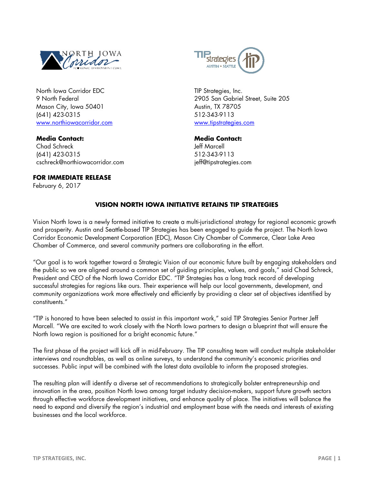

North Iowa Corridor EDC 9 North Federal Mason City, Iowa 50401 (641) 423-0315 [www.northiowacorridor.com](http://www.northiowacorridor.com/)

**Media Contact:** Chad Schreck (641) 423-0315 cschreck@northiowacorridor.com

**FOR IMMEDIATE RELEASE**

February 6, 2017



TIP Strategies, Inc. 2905 San Gabriel Street, Suite 205 Austin, TX 78705 512-343-9113 [www.tipstrategies.com](http://www.tipstrategies.com/)

**Media Contact:** Jeff Marcell 512-343-9113 jeff@tipstrategies.com

## **VISION NORTH IOWA INITIATIVE RETAINS TIP STRATEGIES**

Vision North Iowa is a newly formed initiative to create a multi-jurisdictional strategy for regional economic growth and prosperity. Austin and Seattle-based TIP Strategies has been engaged to guide the project. The North Iowa Corridor Economic Development Corporation (EDC), Mason City Chamber of Commerce, Clear Lake Area Chamber of Commerce, and several community partners are collaborating in the effort.

"Our goal is to work together toward a Strategic Vision of our economic future built by engaging stakeholders and the public so we are aligned around a common set of guiding principles, values, and goals," said Chad Schreck, President and CEO of the North Iowa Corridor EDC. "TIP Strategies has a long track record of developing successful strategies for regions like ours. Their experience will help our local governments, development, and community organizations work more effectively and efficiently by providing a clear set of objectives identified by constituents."

"TIP is honored to have been selected to assist in this important work," said TIP Strategies Senior Partner Jeff Marcell. "We are excited to work closely with the North Iowa partners to design a blueprint that will ensure the North Iowa region is positioned for a bright economic future."

The first phase of the project will kick off in mid-February. The TIP consulting team will conduct multiple stakeholder interviews and roundtables, as well as online surveys, to understand the community's economic priorities and successes. Public input will be combined with the latest data available to inform the proposed strategies.

The resulting plan will identify a diverse set of recommendations to strategically bolster entrepreneurship and innovation in the area, position North Iowa among target industry decision-makers, support future growth sectors through effective workforce development initiatives, and enhance quality of place. The initiatives will balance the need to expand and diversify the region's industrial and employment base with the needs and interests of existing businesses and the local workforce.